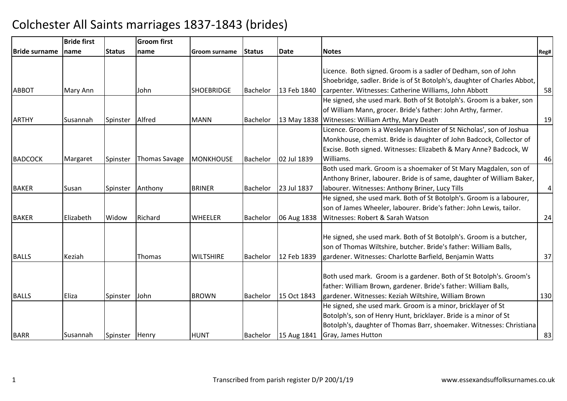|                | <b>Bride first</b> |                | <b>Groom first</b> |                   |                 |             |                                                                          |                  |
|----------------|--------------------|----------------|--------------------|-------------------|-----------------|-------------|--------------------------------------------------------------------------|------------------|
| Bride surname  | Iname              | <b>Status</b>  | name               | Groom surname     | Status          | Date        | <b>Notes</b>                                                             | Reg#             |
|                |                    |                |                    |                   |                 |             |                                                                          |                  |
|                |                    |                |                    |                   |                 |             | Licence. Both signed. Groom is a sadler of Dedham, son of John           |                  |
|                |                    |                |                    |                   |                 |             | Shoebridge, sadler. Bride is of St Botolph's, daughter of Charles Abbot, |                  |
| <b>ABBOT</b>   | Mary Ann           |                | John.              | <b>SHOEBRIDGE</b> | Bachelor        | 13 Feb 1840 | carpenter. Witnesses: Catherine Williams, John Abbott                    | 58               |
|                |                    |                |                    |                   |                 |             | He signed, she used mark. Both of St Botolph's. Groom is a baker, son    |                  |
|                |                    |                |                    |                   |                 |             | of William Mann, grocer. Bride's father: John Arthy, farmer.             |                  |
| <b>ARTHY</b>   | Susannah           | Spinster       | Alfred             | <b>MANN</b>       | Bachelor        |             | 13 May 1838 Witnesses: William Arthy, Mary Death                         | 19               |
|                |                    |                |                    |                   |                 |             | Licence. Groom is a Wesleyan Minister of St Nicholas', son of Joshua     |                  |
|                |                    |                |                    |                   |                 |             | Monkhouse, chemist. Bride is daughter of John Badcock, Collector of      |                  |
|                |                    |                |                    |                   |                 |             | Excise. Both signed. Witnesses: Elizabeth & Mary Anne? Badcock, W        |                  |
| <b>BADCOCK</b> | Margaret           | Spinster       | Thomas Savage      | <b>MONKHOUSE</b>  | Bachelor        | 02 Jul 1839 | Williams.                                                                | 46               |
|                |                    |                |                    |                   |                 |             | Both used mark. Groom is a shoemaker of St Mary Magdalen, son of         |                  |
|                |                    |                |                    |                   |                 |             | Anthony Briner, labourer. Bride is of same, daughter of William Baker,   |                  |
| <b>BAKER</b>   | Susan              | Spinster       | Anthony            | <b>BRINER</b>     | <b>Bachelor</b> | 23 Jul 1837 | labourer. Witnesses: Anthony Briner, Lucy Tills                          | $\left 4\right $ |
|                |                    |                |                    |                   |                 |             | He signed, she used mark. Both of St Botolph's. Groom is a labourer,     |                  |
|                |                    |                |                    |                   |                 |             | son of James Wheeler, labourer. Bride's father: John Lewis, tailor.      |                  |
| <b>BAKER</b>   | Elizabeth          | Widow          | Richard            | <b>WHEELER</b>    | <b>Bachelor</b> | 06 Aug 1838 | Witnesses: Robert & Sarah Watson                                         | 24               |
|                |                    |                |                    |                   |                 |             |                                                                          |                  |
|                |                    |                |                    |                   |                 |             | He signed, she used mark. Both of St Botolph's. Groom is a butcher,      |                  |
|                |                    |                |                    |                   |                 |             | son of Thomas Wiltshire, butcher. Bride's father: William Balls,         |                  |
| <b>BALLS</b>   | Keziah             |                | <b>Thomas</b>      | <b>WILTSHIRE</b>  | <b>Bachelor</b> | 12 Feb 1839 | gardener. Witnesses: Charlotte Barfield, Benjamin Watts                  | 37               |
|                |                    |                |                    |                   |                 |             |                                                                          |                  |
|                |                    |                |                    |                   |                 |             | Both used mark. Groom is a gardener. Both of St Botolph's. Groom's       |                  |
|                |                    |                |                    |                   |                 |             | father: William Brown, gardener. Bride's father: William Balls,          |                  |
| <b>BALLS</b>   | Eliza              | Spinster       | John               | <b>BROWN</b>      | Bachelor        | 15 Oct 1843 | gardener. Witnesses: Keziah Wiltshire, William Brown                     | 130              |
|                |                    |                |                    |                   |                 |             | He signed, she used mark. Groom is a minor, bricklayer of St             |                  |
|                |                    |                |                    |                   |                 |             | Botolph's, son of Henry Hunt, bricklayer. Bride is a minor of St         |                  |
|                |                    |                |                    |                   |                 |             | Botolph's, daughter of Thomas Barr, shoemaker. Witnesses: Christiana     |                  |
| <b>BARR</b>    | Susannah           | Spinster Henry |                    | <b>HUNT</b>       | Bachelor        | 15 Aug 1841 | Gray, James Hutton                                                       | 83               |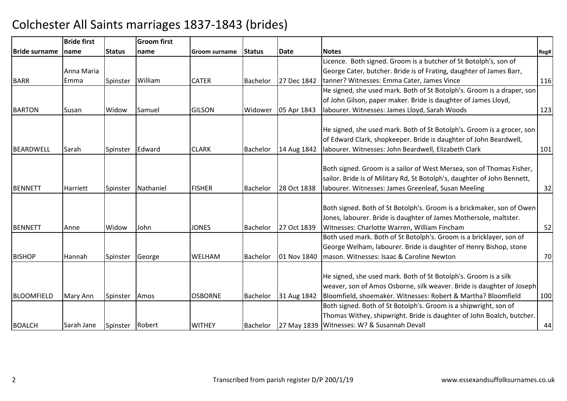|                      | <b>Bride first</b> |                 | <b>Groom first</b> |                |                 |             |                                                                                                                                                                                                           |      |
|----------------------|--------------------|-----------------|--------------------|----------------|-----------------|-------------|-----------------------------------------------------------------------------------------------------------------------------------------------------------------------------------------------------------|------|
| <b>Bride surname</b> | Iname              | <b>Status</b>   | <b>Iname</b>       | Groom surname  | <b>Status</b>   | Date        | <b>Notes</b>                                                                                                                                                                                              | Reg# |
|                      |                    |                 |                    |                |                 |             | Licence. Both signed. Groom is a butcher of St Botolph's, son of                                                                                                                                          |      |
|                      | Anna Maria         |                 |                    |                |                 |             | George Cater, butcher. Bride is of Frating, daughter of James Barr,                                                                                                                                       |      |
| <b>BARR</b>          | Emma               | Spinster        | William            | <b>CATER</b>   | <b>Bachelor</b> | 27 Dec 1842 | tanner? Witnesses: Emma Cater, James Vince                                                                                                                                                                | 116  |
|                      |                    |                 |                    |                |                 |             | He signed, she used mark. Both of St Botolph's. Groom is a draper, son                                                                                                                                    |      |
|                      |                    |                 |                    |                |                 |             | of John Gilson, paper maker. Bride is daughter of James Lloyd,                                                                                                                                            |      |
| <b>BARTON</b>        | Susan              | Widow           | Samuel             | <b>GILSON</b>  | Widower         | 05 Apr 1843 | Iabourer. Witnesses: James Lloyd, Sarah Woods                                                                                                                                                             | 123  |
| BEARDWELL            | Sarah              | Spinster        | Edward             | <b>CLARK</b>   | Bachelor        | 14 Aug 1842 | He signed, she used mark. Both of St Botolph's. Groom is a grocer, son<br>of Edward Clark, shopkeeper. Bride is daughter of John Beardwell,<br>labourer. Witnesses: John Beardwell, Elizabeth Clark       | 101  |
| <b>BENNETT</b>       | Harriett           | Spinster        | Nathaniel          | <b>FISHER</b>  | <b>Bachelor</b> | 28 Oct 1838 | Both signed. Groom is a sailor of West Mersea, son of Thomas Fisher,<br>sailor. Bride is of Military Rd, St Botolph's, daughter of John Bennett,<br>Iabourer. Witnesses: James Greenleaf, Susan Meeling   | 32   |
| <b>BENNETT</b>       | Anne               | Widow           | John               | <b>JONES</b>   | <b>Bachelor</b> | 27 Oct 1839 | Both signed. Both of St Botolph's. Groom is a brickmaker, son of Owen<br>Jones, labourer. Bride is daughter of James Mothersole, maltster.<br>Witnesses: Charlotte Warren, William Fincham                | 52   |
| <b>BISHOP</b>        | Hannah             | Spinster        | George             | <b>WELHAM</b>  | <b>Bachelor</b> | 01 Nov 1840 | Both used mark. Both of St Botolph's. Groom is a bricklayer, son of<br>George Welham, labourer. Bride is daughter of Henry Bishop, stone<br>mason. Witnesses: Isaac & Caroline Newton                     | 70   |
| <b>BLOOMFIELD</b>    | Mary Ann           | Spinster        | Amos               | <b>OSBORNE</b> | <b>Bachelor</b> | 31 Aug 1842 | He signed, she used mark. Both of St Botolph's. Groom is a silk<br>weaver, son of Amos Osborne, silk weaver. Bride is daughter of Joseph<br>Bloomfield, shoemaker. Witnesses: Robert & Martha? Bloomfield | 100  |
| <b>BOALCH</b>        | Sarah Jane         | Spinster Robert |                    | <b>WITHEY</b>  | Bachelor        |             | Both signed. Both of St Botolph's. Groom is a shipwright, son of<br>Thomas Withey, shipwright. Bride is daughter of John Boalch, butcher.<br>27 May 1839 Witnesses: W? & Susannah Devall                  | 44   |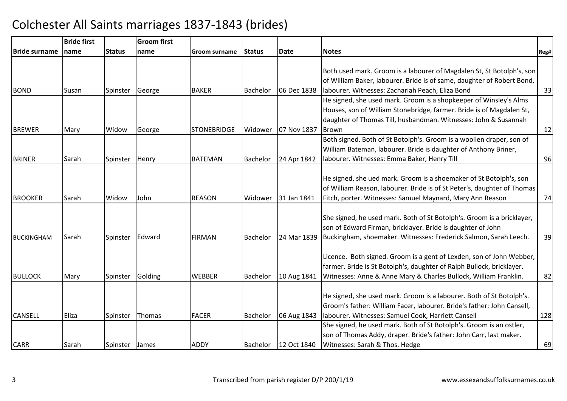|                      | <b>Bride first</b> |                | <b>Groom</b> first |                    |                 |             |                                                                                                                                                                                                                       |      |
|----------------------|--------------------|----------------|--------------------|--------------------|-----------------|-------------|-----------------------------------------------------------------------------------------------------------------------------------------------------------------------------------------------------------------------|------|
| <b>Bride surname</b> | name               | <b>Status</b>  | name               | Groom surname      | <b>IStatus</b>  | Date        | <b>Notes</b>                                                                                                                                                                                                          | Reg# |
| <b>BOND</b>          | Susan              | Spinster       | George             | <b>BAKER</b>       | <b>Bachelor</b> | 06 Dec 1838 | Both used mark. Groom is a labourer of Magdalen St, St Botolph's, son<br>of William Baker, labourer. Bride is of same, daughter of Robert Bond,<br>labourer. Witnesses: Zachariah Peach, Eliza Bond                   | 33   |
| <b>BREWER</b>        | Mary               | Widow          | George             | <b>STONEBRIDGE</b> | Widower         | 07 Nov 1837 | He signed, she used mark. Groom is a shopkeeper of Winsley's Alms<br>Houses, son of William Stonebridge, farmer. Bride is of Magdalen St,<br>daughter of Thomas Till, husbandman. Witnesses: John & Susannah<br>Brown | 12   |
| <b>BRINER</b>        | Sarah              | Spinster       | Henry              | <b>BATEMAN</b>     | Bachelor        | 24 Apr 1842 | Both signed. Both of St Botolph's. Groom is a woollen draper, son of<br>William Bateman, labourer. Bride is daughter of Anthony Briner,<br>labourer. Witnesses: Emma Baker, Henry Till                                | 96   |
| <b>BROOKER</b>       | Sarah              | Widow          | John               | <b>REASON</b>      | Widower         | 31 Jan 1841 | He signed, she ued mark. Groom is a shoemaker of St Botolph's, son<br>of William Reason, labourer. Bride is of St Peter's, daughter of Thomas<br>Fitch, porter. Witnesses: Samuel Maynard, Mary Ann Reason            | 74   |
| <b>BUCKINGHAM</b>    | Sarah              | Spinster       | Edward             | <b>FIRMAN</b>      | <b>Bachelor</b> | 24 Mar 1839 | She signed, he used mark. Both of St Botolph's. Groom is a bricklayer,<br>son of Edward Firman, bricklayer. Bride is daughter of John<br>Buckingham, shoemaker. Witnesses: Frederick Salmon, Sarah Leech.             | 39   |
| <b>BULLOCK</b>       | Mary               | Spinster       | Golding            | <b>WEBBER</b>      | Bachelor        | 10 Aug 1841 | Licence. Both signed. Groom is a gent of Lexden, son of John Webber,<br>farmer. Bride is St Botolph's, daughter of Ralph Bullock, bricklayer.<br>Witnesses: Anne & Anne Mary & Charles Bullock, William Franklin.     | 82   |
| <b>CANSELL</b>       | Eliza              | Spinster       | Thomas             | <b>FACER</b>       | Bachelor        | 06 Aug 1843 | He signed, she used mark. Groom is a labourer. Both of St Botolph's.<br>Groom's father: William Facer, labourer. Bride's father: John Cansell,<br>Iabourer. Witnesses: Samuel Cook, Harriett Cansell                  | 128  |
| <b>CARR</b>          | Sarah              | Spinster James |                    | <b>ADDY</b>        | <b>Bachelor</b> | 12 Oct 1840 | She signed, he used mark. Both of St Botolph's. Groom is an ostler,<br>son of Thomas Addy, draper. Bride's father: John Carr, last maker.<br>Witnesses: Sarah & Thos. Hedge                                           | 69   |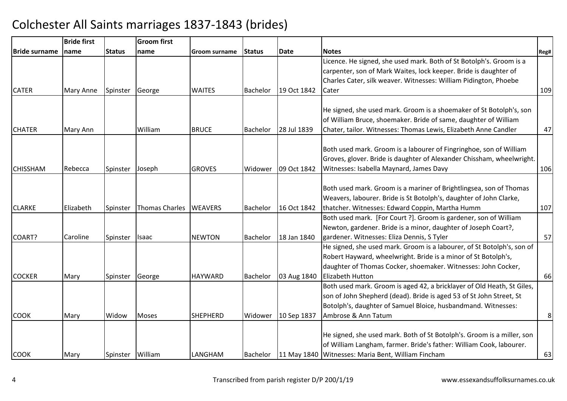|                      | <b>Bride first</b> |                  | <b>Groom first</b> |                 |                 |             |                                                                        |      |
|----------------------|--------------------|------------------|--------------------|-----------------|-----------------|-------------|------------------------------------------------------------------------|------|
| <b>Bride surname</b> | name               | <b>Status</b>    | name               | Groom surname   | <b>IStatus</b>  | Date        | <b>Notes</b>                                                           | Reg# |
|                      |                    |                  |                    |                 |                 |             | Licence. He signed, she used mark. Both of St Botolph's. Groom is a    |      |
|                      |                    |                  |                    |                 |                 |             | carpenter, son of Mark Waites, lock keeper. Bride is daughter of       |      |
|                      |                    |                  |                    |                 |                 |             | Charles Cater, silk weaver. Witnesses: William Pidington, Phoebe       |      |
| <b>CATER</b>         | Mary Anne          | Spinster         | George             | <b>WAITES</b>   | <b>Bachelor</b> | 19 Oct 1842 | Cater                                                                  | 109  |
|                      |                    |                  |                    |                 |                 |             | He signed, she used mark. Groom is a shoemaker of St Botolph's, son    |      |
|                      |                    |                  |                    |                 |                 |             | of William Bruce, shoemaker. Bride of same, daughter of William        |      |
| <b>CHATER</b>        |                    |                  | William            | <b>BRUCE</b>    |                 | 28 Jul 1839 | Chater, tailor. Witnesses: Thomas Lewis, Elizabeth Anne Candler        |      |
|                      | Mary Ann           |                  |                    |                 | Bachelor        |             |                                                                        | 47   |
|                      |                    |                  |                    |                 |                 |             | Both used mark. Groom is a labourer of Fingringhoe, son of William     |      |
|                      |                    |                  |                    |                 |                 |             | Groves, glover. Bride is daughter of Alexander Chissham, wheelwright.  |      |
| <b>CHISSHAM</b>      | Rebecca            | Spinster         | Joseph             | <b>GROVES</b>   | Widower         | 09 Oct 1842 | Witnesses: Isabella Maynard, James Davy                                | 106  |
|                      |                    |                  |                    |                 |                 |             |                                                                        |      |
|                      |                    |                  |                    |                 |                 |             | Both used mark. Groom is a mariner of Brightlingsea, son of Thomas     |      |
|                      |                    |                  |                    |                 |                 |             | Weavers, labourer. Bride is St Botolph's, daughter of John Clarke,     |      |
| <b>CLARKE</b>        | Elizabeth          | Spinster         | Thomas Charles     | <b>WEAVERS</b>  | <b>Bachelor</b> | 16 Oct 1842 | thatcher. Witnesses: Edward Coppin, Martha Humm                        | 107  |
|                      |                    |                  |                    |                 |                 |             | Both used mark. [For Court ?]. Groom is gardener, son of William       |      |
|                      |                    |                  |                    |                 |                 |             | Newton, gardener. Bride is a minor, daughter of Joseph Coart?,         |      |
| COART?               | Caroline           | Spinster         | Isaac              | <b>NEWTON</b>   | <b>Bachelor</b> | 18 Jan 1840 | gardener. Witnesses: Eliza Dennis, S Tyler                             | 57   |
|                      |                    |                  |                    |                 |                 |             | He signed, she used mark. Groom is a labourer, of St Botolph's, son of |      |
|                      |                    |                  |                    |                 |                 |             | Robert Hayward, wheelwright. Bride is a minor of St Botolph's,         |      |
|                      |                    |                  |                    |                 |                 |             | daughter of Thomas Cocker, shoemaker. Witnesses: John Cocker,          |      |
| <b>COCKER</b>        | Mary               | Spinster         | George             | <b>HAYWARD</b>  | <b>Bachelor</b> | 03 Aug 1840 | <b>Elizabeth Hutton</b>                                                | 66   |
|                      |                    |                  |                    |                 |                 |             | Both used mark. Groom is aged 42, a bricklayer of Old Heath, St Giles, |      |
|                      |                    |                  |                    |                 |                 |             | son of John Shepherd (dead). Bride is aged 53 of St John Street, St    |      |
|                      |                    |                  |                    |                 |                 |             | Botolph's, daughter of Samuel Bloice, husbandmand. Witnesses:          |      |
| <b>COOK</b>          | Mary               | Widow            | Moses              | <b>SHEPHERD</b> | Widower         | 10 Sep 1837 | Ambrose & Ann Tatum                                                    | 8    |
|                      |                    |                  |                    |                 |                 |             |                                                                        |      |
|                      |                    |                  |                    |                 |                 |             | He signed, she used mark. Both of St Botolph's. Groom is a miller, son |      |
|                      |                    |                  |                    |                 |                 |             | of William Langham, farmer. Bride's father: William Cook, labourer.    |      |
| <b>COOK</b>          | Mary               | Spinster William |                    | LANGHAM         | Bachelor        |             | 11 May 1840 Witnesses: Maria Bent, William Fincham                     | 63   |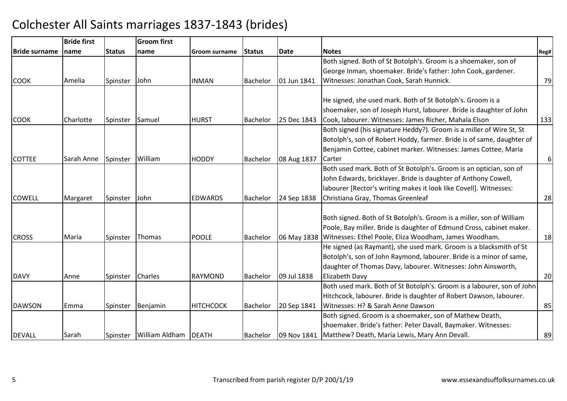|                      | <b>Bride first</b> |               | <b>Groom first</b> |                      |                 |             |                                                                        |          |
|----------------------|--------------------|---------------|--------------------|----------------------|-----------------|-------------|------------------------------------------------------------------------|----------|
| <b>Bride surname</b> | <b>Iname</b>       | <b>Status</b> | Iname              | <b>Groom surname</b> | <b>Status</b>   | Date        | <b>Notes</b>                                                           | Reg#     |
|                      |                    |               |                    |                      |                 |             | Both signed. Both of St Botolph's. Groom is a shoemaker, son of        |          |
|                      |                    |               |                    |                      |                 |             | George Inman, shoemaker. Bride's father: John Cook, gardener.          |          |
| <b>COOK</b>          | Amelia             | Spinster      | John               | <b>INMAN</b>         | <b>Bachelor</b> | 01 Jun 1841 | Witnesses: Jonathan Cook, Sarah Hunnick.                               | 79       |
|                      |                    |               |                    |                      |                 |             |                                                                        |          |
|                      |                    |               |                    |                      |                 |             | He signed, she used mark. Both of St Botolph's. Groom is a             |          |
|                      |                    |               |                    |                      |                 |             | shoemaker, son of Joseph Hurst, labourer. Bride is daughter of John    |          |
| <b>COOK</b>          | Charlotte          | Spinster      | Samuel             | <b>HURST</b>         | <b>Bachelor</b> | 25 Dec 1843 | Cook, labourer. Witnesses: James Richer, Mahala Elson                  | 133      |
|                      |                    |               |                    |                      |                 |             | Both signed (his signature Heddy?). Groom is a miller of Wire St, St   |          |
|                      |                    |               |                    |                      |                 |             | Botolph's, son of Robert Hoddy, farmer. Bride is of same, daughter of  |          |
|                      |                    |               |                    |                      |                 |             | Benjamin Cottee, cabinet marker. Witnesses: James Cottee, Maria        |          |
| <b>COTTEE</b>        | Sarah Anne         | Spinster      | William            | <b>HODDY</b>         | Bachelor        | 08 Aug 1837 | Carter                                                                 | $6 \mid$ |
|                      |                    |               |                    |                      |                 |             | Both used mark. Both of St Botolph's. Groom is an optician, son of     |          |
|                      |                    |               |                    |                      |                 |             | John Edwards, bricklayer. Bride is daughter of Anthony Cowell,         |          |
|                      |                    |               |                    |                      |                 |             | labourer [Rector's writing makes it look like Covell]. Witnesses:      |          |
| <b>COWELL</b>        | Margaret           | Spinster      | John               | <b>EDWARDS</b>       | <b>Bachelor</b> | 24 Sep 1838 | Christiana Gray, Thomas Greenleaf                                      | 28       |
|                      |                    |               |                    |                      |                 |             |                                                                        |          |
|                      |                    |               |                    |                      |                 |             | Both signed. Both of St Botolph's. Groom is a miller, son of William   |          |
|                      |                    |               |                    |                      |                 |             | Poole, Bay miller. Bride is daughter of Edmund Cross, cabinet maker.   |          |
| <b>CROSS</b>         | Maria              | Spinster      | Thomas             | <b>POOLE</b>         | <b>Bachelor</b> |             | 06 May 1838 Witnesses: Ethel Poole, Eliza Woodham, James Woodham.      | 18       |
|                      |                    |               |                    |                      |                 |             | He signed (as Raymant), she used mark. Groom is a blacksmith of St     |          |
|                      |                    |               |                    |                      |                 |             | Botolph's, son of John Raymond, labourer. Bride is a minor of same,    |          |
|                      |                    |               |                    |                      |                 |             | daughter of Thomas Davy, labourer. Witnesses: John Ainsworth,          |          |
| DAVY                 | Anne               | Spinster      | <b>Charles</b>     | <b>RAYMOND</b>       | Bachelor        | 09 Jul 1838 | Elizabeth Davy                                                         | 20       |
|                      |                    |               |                    |                      |                 |             | Both used mark. Both of St Botolph's. Groom is a labourer, son of John |          |
|                      |                    |               |                    |                      |                 |             | Hitchcock, labourer. Bride is daughter of Robert Dawson, labourer.     |          |
| DAWSON               | Emma               | Spinster      | Benjamin           | <b>HITCHCOCK</b>     | Bachelor        | 20 Sep 1841 | Witnesses: H? & Sarah Anne Dawson                                      | 85       |
|                      |                    |               |                    |                      |                 |             | Both signed. Groom is a shoemaker, son of Mathew Death,                |          |
|                      |                    |               |                    |                      |                 |             | shoemaker. Bride's father: Peter Davall, Baymaker. Witnesses:          |          |
| <b>DEVALL</b>        | Sarah              | Spinster      | William Aldham     | DEATH                | <b>Bachelor</b> | 09 Nov 1841 | Matthew? Death, Maria Lewis, Mary Ann Devall.                          | 89       |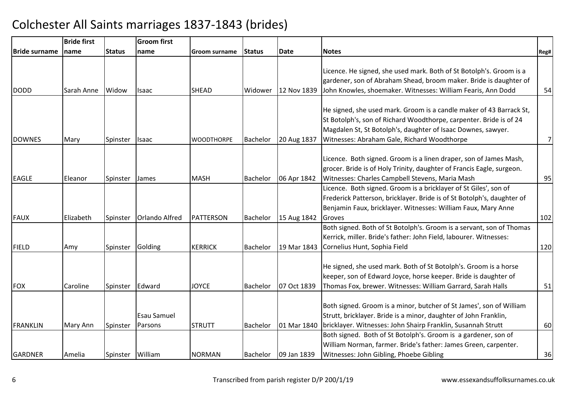|                       | <b>Bride first</b> |               | <b>Groom first</b>    |                   |                 |             |                                                                        |                |
|-----------------------|--------------------|---------------|-----------------------|-------------------|-----------------|-------------|------------------------------------------------------------------------|----------------|
| <b>IBride surname</b> | name               | <b>Status</b> | name                  | Groom surname     | <b>Status</b>   | <b>Date</b> | <b>Notes</b>                                                           | Reg#           |
|                       |                    |               |                       |                   |                 |             |                                                                        |                |
|                       |                    |               |                       |                   |                 |             | Licence. He signed, she used mark. Both of St Botolph's. Groom is a    |                |
|                       |                    |               |                       |                   |                 |             | gardener, son of Abraham Shead, broom maker. Bride is daughter of      |                |
| <b>DODD</b>           | Sarah Anne         | Widow         | Isaac                 | <b>SHEAD</b>      | Widower         | 12 Nov 1839 | John Knowles, shoemaker. Witnesses: William Fearis, Ann Dodd           | 54             |
|                       |                    |               |                       |                   |                 |             |                                                                        |                |
|                       |                    |               |                       |                   |                 |             | He signed, she used mark. Groom is a candle maker of 43 Barrack St,    |                |
|                       |                    |               |                       |                   |                 |             | St Botolph's, son of Richard Woodthorpe, carpenter. Bride is of 24     |                |
|                       |                    |               |                       |                   |                 |             | Magdalen St, St Botolph's, daughter of Isaac Downes, sawyer.           |                |
| <b>DOWNES</b>         | Mary               | Spinster      | <b>Isaac</b>          | <b>WOODTHORPE</b> | <b>Bachelor</b> | 20 Aug 1837 | Witnesses: Abraham Gale, Richard Woodthorpe                            | $\overline{7}$ |
|                       |                    |               |                       |                   |                 |             |                                                                        |                |
|                       |                    |               |                       |                   |                 |             | Licence. Both signed. Groom is a linen draper, son of James Mash,      |                |
|                       |                    |               |                       |                   |                 |             | grocer. Bride is of Holy Trinity, daughter of Francis Eagle, surgeon.  |                |
| <b>EAGLE</b>          | Eleanor            | Spinster      | <b>James</b>          | <b>MASH</b>       | <b>Bachelor</b> | 06 Apr 1842 | Witnesses: Charles Campbell Stevens, Maria Mash                        | 95             |
|                       |                    |               |                       |                   |                 |             | Licence. Both signed. Groom is a bricklayer of St Giles', son of       |                |
|                       |                    |               |                       |                   |                 |             | Frederick Patterson, bricklayer. Bride is of St Botolph's, daughter of |                |
|                       |                    |               |                       |                   |                 |             | Benjamin Faux, bricklayer. Witnesses: William Faux, Mary Anne          |                |
| FAUX                  | Elizabeth          | Spinster      | <b>Orlando Alfred</b> | <b>PATTERSON</b>  | Bachelor        | 15 Aug 1842 | Groves                                                                 | 102            |
|                       |                    |               |                       |                   |                 |             | Both signed. Both of St Botolph's. Groom is a servant, son of Thomas   |                |
|                       |                    |               |                       |                   |                 |             | Kerrick, miller. Bride's father: John Field, labourer. Witnesses:      |                |
| FIELD                 | Amy                | Spinster      | Golding               | <b>KERRICK</b>    | Bachelor        | 19 Mar 1843 | Cornelius Hunt, Sophia Field                                           | 120            |
|                       |                    |               |                       |                   |                 |             |                                                                        |                |
|                       |                    |               |                       |                   |                 |             | He signed, she used mark. Both of St Botolph's. Groom is a horse       |                |
|                       |                    |               |                       |                   |                 |             | keeper, son of Edward Joyce, horse keeper. Bride is daughter of        |                |
| <b>FOX</b>            | Caroline           | Spinster      | Edward                | <b>JOYCE</b>      | <b>Bachelor</b> | 07 Oct 1839 | Thomas Fox, brewer. Witnesses: William Garrard, Sarah Halls            | 51             |
|                       |                    |               |                       |                   |                 |             |                                                                        |                |
|                       |                    |               |                       |                   |                 |             | Both signed. Groom is a minor, butcher of St James', son of William    |                |
|                       |                    |               | <b>Esau Samuel</b>    |                   |                 |             | Strutt, bricklayer. Bride is a minor, daughter of John Franklin,       |                |
| FRANKLIN              | Mary Ann           | Spinster      | Parsons               | <b>STRUTT</b>     | <b>Bachelor</b> | 01 Mar 1840 | bricklayer. Witnesses: John Shairp Franklin, Susannah Strutt           | 60             |
|                       |                    |               |                       |                   |                 |             | Both signed. Both of St Botolph's. Groom is a gardener, son of         |                |
|                       |                    |               |                       |                   |                 |             | William Norman, farmer. Bride's father: James Green, carpenter.        |                |
| GARDNER               | Amelia             | Spinster      | William               | <b>NORMAN</b>     | Bachelor        | 09 Jan 1839 | Witnesses: John Gibling, Phoebe Gibling                                | 36             |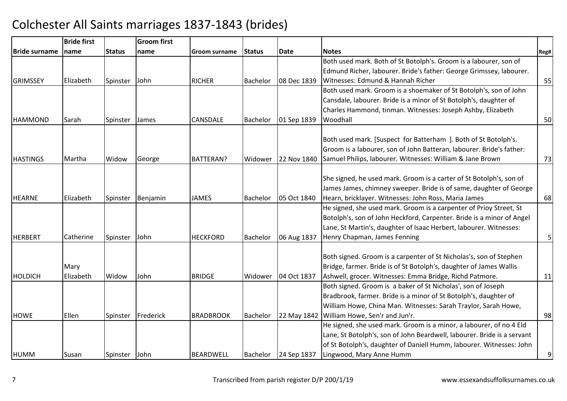|                 | <b>Bride first</b> |               | <b>Groom</b> first |                  |                 |             |                                                                                                                            |                |
|-----------------|--------------------|---------------|--------------------|------------------|-----------------|-------------|----------------------------------------------------------------------------------------------------------------------------|----------------|
| lBride surname  | name               | <b>Status</b> | name               | Groom surname    | <b>Status</b>   | <b>Date</b> | <b>Notes</b>                                                                                                               | Reg#           |
|                 |                    |               |                    |                  |                 |             | Both used mark. Both of St Botolph's. Groom is a labourer, son of                                                          |                |
|                 |                    |               |                    |                  |                 |             | Edmund Richer, labourer. Bride's father: George Grimssey, labourer.                                                        |                |
| <b>GRIMSSEY</b> | Elizabeth          | Spinster      | <b>John</b>        | <b>RICHER</b>    | <b>Bachelor</b> | 08 Dec 1839 | Witnesses: Edmund & Hannah Richer                                                                                          | 55             |
|                 |                    |               |                    |                  |                 |             | Both used mark. Groom is a shoemaker of St Botolph's, son of John                                                          |                |
|                 |                    |               |                    |                  |                 |             | Cansdale, labourer. Bride is a minor of St Botolph's, daughter of                                                          |                |
|                 |                    |               |                    |                  |                 |             | Charles Hammond, tinman. Witnesses: Joseph Ashby, Elizabeth                                                                |                |
| <b>HAMMOND</b>  | Sarah              | Spinster      | James              | CANSDALE         | <b>Bachelor</b> | 01 Sep 1839 | Woodhall                                                                                                                   | 50             |
|                 |                    |               |                    |                  |                 |             |                                                                                                                            |                |
|                 |                    |               |                    |                  |                 |             | Both used mark. [Suspect for Batterham ]. Both of St Botolph's.                                                            |                |
|                 |                    |               |                    |                  |                 |             | Groom is a labourer, son of John Batteran, labourer. Bride's father:                                                       |                |
| <b>HASTINGS</b> | Martha             | Widow         | George             | <b>BATTERAN?</b> | Widower         | 22 Nov 1840 | Samuel Philips, labourer. Witnesses: William & Jane Brown                                                                  | 73             |
|                 |                    |               |                    |                  |                 |             | She signed, he used mark. Groom is a carter of St Botolph's, son of                                                        |                |
|                 |                    |               |                    |                  |                 |             |                                                                                                                            |                |
| <b>HEARNE</b>   |                    |               |                    |                  |                 |             | James James, chimney sweeper. Bride is of same, daughter of George                                                         |                |
|                 | Elizabeth          | Spinster      | Benjamin           | <b>JAMES</b>     | <b>Bachelor</b> | 05 Oct 1840 | Hearn, bricklayer. Witnesses: John Ross, Maria James<br>He signed, she used mark. Groom is a carpenter of Prioy Street, St | 68             |
|                 |                    |               |                    |                  |                 |             | Botolph's, son of John Heckford, Carpenter. Bride is a minor of Angel                                                      |                |
|                 |                    |               |                    |                  |                 |             | Lane, St Martin's, daughter of Isaac Herbert, labourer. Witnesses:                                                         |                |
| <b>HERBERT</b>  | Catherine          | Spinster      | John               | <b>HECKFORD</b>  | <b>Bachelor</b> | 06 Aug 1837 | Henry Chapman, James Fenning                                                                                               | 5 <sup>1</sup> |
|                 |                    |               |                    |                  |                 |             |                                                                                                                            |                |
|                 |                    |               |                    |                  |                 |             | Both signed. Groom is a carpenter of St Nicholas's, son of Stephen                                                         |                |
|                 | Mary               |               |                    |                  |                 |             | Bridge, farmer. Bride is of St Botolph's, daughter of James Wallis                                                         |                |
| HOLDICH         | Elizabeth          | Widow         | John               | <b>BRIDGE</b>    | Widower         | 04 Oct 1837 | Ashwell, grocer. Witnesses: Emma Bridge, Richd Patmore.                                                                    | 11             |
|                 |                    |               |                    |                  |                 |             | Both signed. Groom is a baker of St Nicholas', son of Joseph                                                               |                |
|                 |                    |               |                    |                  |                 |             | Bradbrook, farmer. Bride is a minor of St Botolph's, daughter of                                                           |                |
|                 |                    |               |                    |                  |                 |             | William Howe, China Man. Witnesses: Sarah Traylor, Sarah Howe,                                                             |                |
| <b>HOWE</b>     | Ellen              | Spinster      | Frederick          | <b>BRADBROOK</b> | <b>Bachelor</b> | 22 May 1842 | William Howe, Sen'r and Jun'r.                                                                                             | 98             |
|                 |                    |               |                    |                  |                 |             | He signed, she used mark. Groom is a minor, a labourer, of no 4 Eld                                                        |                |
|                 |                    |               |                    |                  |                 |             | Lane, St Botolph's, son of John Beardwell, labourer. Bride is a servant                                                    |                |
|                 |                    |               |                    |                  |                 |             | of St Botolph's, daughter of Daniell Humm, labourer. Witnesses: John                                                       |                |
| HUMM            | Susan              | Spinster      | <b>John</b>        | <b>BEARDWELL</b> | Bachelor        | 24 Sep 1837 | Lingwood, Mary Anne Humm                                                                                                   | $\overline{9}$ |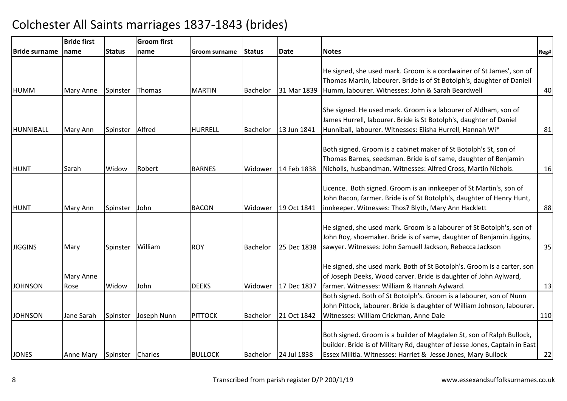|                      | <b>Bride first</b> |                  | <b>Groom first</b> |                |                 |             |                                                                                                                                                                                                                      |      |
|----------------------|--------------------|------------------|--------------------|----------------|-----------------|-------------|----------------------------------------------------------------------------------------------------------------------------------------------------------------------------------------------------------------------|------|
| <b>Bride surname</b> | name               | <b>Status</b>    | name               | Groom surname  | <b>Status</b>   | <b>Date</b> | <b>Notes</b>                                                                                                                                                                                                         | Reg# |
| <b>HUMM</b>          | Mary Anne          | Spinster         | Thomas             | <b>MARTIN</b>  | Bachelor        | 31 Mar 1839 | He signed, she used mark. Groom is a cordwainer of St James', son of<br>Thomas Martin, labourer. Bride is of St Botolph's, daughter of Daniell<br>Humm, labourer. Witnesses: John & Sarah Beardwell                  | 40   |
| HUNNIBALL            | Mary Ann           | Spinster         | Alfred             | <b>HURRELL</b> | <b>Bachelor</b> | 13 Jun 1841 | She signed. He used mark. Groom is a labourer of Aldham, son of<br>James Hurrell, labourer. Bride is St Botolph's, daughter of Daniel<br>Hunniball, labourer. Witnesses: Elisha Hurrell, Hannah Wi*                  | 81   |
| <b>HUNT</b>          | Sarah              | Widow            | Robert             | <b>BARNES</b>  | Widower         | 14 Feb 1838 | Both signed. Groom is a cabinet maker of St Botolph's St, son of<br>Thomas Barnes, seedsman. Bride is of same, daughter of Benjamin<br>Nicholls, husbandman. Witnesses: Alfred Cross, Martin Nichols.                | 16   |
| HUNT                 | Mary Ann           | Spinster         | John               | <b>BACON</b>   | Widower         | 19 Oct 1841 | Licence. Both signed. Groom is an innkeeper of St Martin's, son of<br>John Bacon, farmer. Bride is of St Botolph's, daughter of Henry Hunt,<br>innkeeper. Witnesses: Thos? Blyth, Mary Ann Hacklett                  | 88   |
| <b>JIGGINS</b>       | Mary               | Spinster         | William            | <b>ROY</b>     | <b>Bachelor</b> | 25 Dec 1838 | He signed, she used mark. Groom is a labourer of St Botolph's, son of<br>John Roy, shoemaker. Bride is of same, daughter of Benjamin Jiggins,<br>sawyer. Witnesses: John Samuell Jackson, Rebecca Jackson            | 35   |
| <b>JOHNSON</b>       | Mary Anne<br>Rose  | Widow            | John               | <b>DEEKS</b>   | Widower         | 17 Dec 1837 | He signed, she used mark. Both of St Botolph's. Groom is a carter, son<br>of Joseph Deeks, Wood carver. Bride is daughter of John Aylward,<br>farmer. Witnesses: William & Hannah Aylward.                           | 13   |
| <b>JOHNSON</b>       | Jane Sarah         | Spinster         | Joseph Nunn        | <b>PITTOCK</b> | <b>Bachelor</b> | 21 Oct 1842 | Both signed. Both of St Botolph's. Groom is a labourer, son of Nunn<br>John Pittock, labourer. Bride is daughter of William Johnson, labourer.<br>Witnesses: William Crickman, Anne Dale                             | 110  |
| <b>JONES</b>         | Anne Mary          | Spinster Charles |                    | <b>BULLOCK</b> | Bachelor        | 24 Jul 1838 | Both signed. Groom is a builder of Magdalen St, son of Ralph Bullock,<br>builder. Bride is of Military Rd, daughter of Jesse Jones, Captain in East<br>Essex Militia. Witnesses: Harriet & Jesse Jones, Mary Bullock | 22   |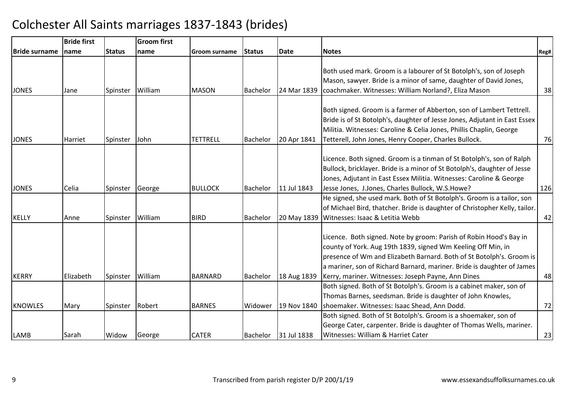|                      | <b>Bride first</b> |               | <b>Groom</b> first |                 |                 |             |                                                                                                                                                                                                                                                                                                                                            |      |
|----------------------|--------------------|---------------|--------------------|-----------------|-----------------|-------------|--------------------------------------------------------------------------------------------------------------------------------------------------------------------------------------------------------------------------------------------------------------------------------------------------------------------------------------------|------|
| <b>Bride surname</b> | name               | <b>Status</b> | name               | Groom surname   | <b>Status</b>   | <b>Date</b> | <b>Notes</b>                                                                                                                                                                                                                                                                                                                               | Reg# |
| <b>JONES</b>         | Jane               | Spinster      | William            | <b>MASON</b>    | <b>Bachelor</b> | 24 Mar 1839 | Both used mark. Groom is a labourer of St Botolph's, son of Joseph<br>Mason, sawyer. Bride is a minor of same, daughter of David Jones,<br>coachmaker. Witnesses: William Norland?, Eliza Mason                                                                                                                                            | 38   |
| <b>JONES</b>         | Harriet            | Spinster      | John               | <b>TETTRELL</b> | Bachelor        | 20 Apr 1841 | Both signed. Groom is a farmer of Abberton, son of Lambert Tettrell.<br>Bride is of St Botolph's, daughter of Jesse Jones, Adjutant in East Essex<br>Militia. Witnesses: Caroline & Celia Jones, Phillis Chaplin, George<br>Tetterell, John Jones, Henry Cooper, Charles Bullock.                                                          | 76   |
| <b>JONES</b>         | Celia              | Spinster      | George             | <b>BULLOCK</b>  | Bachelor        | 11 Jul 1843 | Licence. Both signed. Groom is a tinman of St Botolph's, son of Ralph<br>Bullock, bricklayer. Bride is a minor of St Botolph's, daughter of Jesse<br>Jones, Adjutant in East Essex Militia. Witnesses: Caroline & George<br>Jesse Jones, J.Jones, Charles Bullock, W.S.Howe?                                                               | 126  |
| KELLY                | Anne               | Spinster      | William            | <b>BIRD</b>     | Bachelor        | 20 May 1839 | He signed, she used mark. Both of St Botolph's. Groom is a tailor, son<br>of Michael Bird, thatcher. Bride is daughter of Christopher Kelly, tailor.<br>Witnesses: Isaac & Letitia Webb                                                                                                                                                    | 42   |
| KERRY                | Elizabeth          | Spinster      | William            | <b>BARNARD</b>  | Bachelor        | 18 Aug 1839 | Licence. Both signed. Note by groom: Parish of Robin Hood's Bay in<br>county of York. Aug 19th 1839, signed Wm Keeling Off Min, in<br>presence of Wm and Elizabeth Barnard. Both of St Botolph's. Groom is<br>a mariner, son of Richard Barnard, mariner. Bride is daughter of James<br>Kerry, mariner. Witnesses: Joseph Payne, Ann Dines | 48   |
| <b>KNOWLES</b>       | Mary               | Spinster      | Robert             | <b>BARNES</b>   | Widower         | 19 Nov 1840 | Both signed. Both of St Botolph's. Groom is a cabinet maker, son of<br>Thomas Barnes, seedsman. Bride is daughter of John Knowles,<br>shoemaker. Witnesses: Isaac Shead, Ann Dodd.                                                                                                                                                         | 72   |
| LAMB                 | Sarah              | Widow         | George             | <b>CATER</b>    | Bachelor        | 31 Jul 1838 | Both signed. Both of St Botolph's. Groom is a shoemaker, son of<br>George Cater, carpenter. Bride is daughter of Thomas Wells, mariner.<br>Witnesses: William & Harriet Cater                                                                                                                                                              | 23   |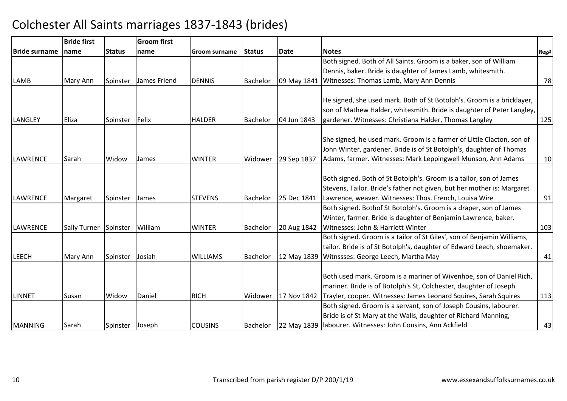|                      | <b>Bride first</b>  |                 | <b>Groom first</b> |                 |                 |             |                                                                        |      |
|----------------------|---------------------|-----------------|--------------------|-----------------|-----------------|-------------|------------------------------------------------------------------------|------|
| <b>Bride surname</b> | Iname               | <b>Status</b>   | Iname              | Groom surname   | <b>Status</b>   | <b>Date</b> | Notes                                                                  | Reg# |
|                      |                     |                 |                    |                 |                 |             | Both signed. Both of All Saints. Groom is a baker, son of William      |      |
|                      |                     |                 |                    |                 |                 |             | Dennis, baker. Bride is daughter of James Lamb, whitesmith.            |      |
| <b>LAMB</b>          | Mary Ann            | Spinster        | James Friend       | <b>DENNIS</b>   | Bachelor        | 09 May 1841 | Witnesses: Thomas Lamb, Mary Ann Dennis                                | 78   |
|                      |                     |                 |                    |                 |                 |             |                                                                        |      |
|                      |                     |                 |                    |                 |                 |             | He signed, she used mark. Both of St Botolph's. Groom is a bricklayer, |      |
|                      |                     |                 |                    |                 |                 |             | son of Mathew Halder, whitesmith. Bride is daughter of Peter Langley,  |      |
| <b>LANGLEY</b>       | Eliza               | Spinster        | Felix              | <b>HALDER</b>   | <b>Bachelor</b> | 04 Jun 1843 | gardener. Witnesses: Christiana Halder, Thomas Langley                 | 125  |
|                      |                     |                 |                    |                 |                 |             |                                                                        |      |
|                      |                     |                 |                    |                 |                 |             | She signed, he used mark. Groom is a farmer of Little Clacton, son of  |      |
|                      |                     |                 |                    |                 |                 |             | John Winter, gardener. Bride is of St Botolph's, daughter of Thomas    |      |
| <b>LAWRENCE</b>      | Sarah               | Widow           | <b>James</b>       | <b>WINTER</b>   | Widower         | 29 Sep 1837 | Adams, farmer. Witnesses: Mark Leppingwell Munson, Ann Adams           | 10   |
|                      |                     |                 |                    |                 |                 |             |                                                                        |      |
|                      |                     |                 |                    |                 |                 |             | Both signed. Both of St Botolph's. Groom is a tailor, son of James     |      |
|                      |                     |                 |                    |                 |                 |             | Stevens, Tailor. Bride's father not given, but her mother is: Margaret |      |
| <b>LAWRENCE</b>      | Margaret            | Spinster        | James              | <b>STEVENS</b>  | <b>Bachelor</b> | 25 Dec 1841 | Lawrence, weaver. Witnesses: Thos. French, Louisa Wire                 | 91   |
|                      |                     |                 |                    |                 |                 |             | Both signed. Bothof St Botolph's. Groom is a draper, son of James      |      |
|                      |                     |                 |                    |                 |                 |             | Winter, farmer. Bride is daughter of Benjamin Lawrence, baker.         |      |
| LAWRENCE             | <b>Sally Turner</b> | Spinster        | William            | <b>WINTER</b>   | Bachelor        | 20 Aug 1842 | Witnesses: John & Harriett Winter                                      | 103  |
|                      |                     |                 |                    |                 |                 |             | Both signed. Groom is a tailor of St Giles', son of Benjamin Williams, |      |
|                      |                     |                 |                    |                 |                 |             | tailor. Bride is of St Botolph's, daughter of Edward Leech, shoemaker. |      |
| <b>LEECH</b>         | Mary Ann            | Spinster        | Josiah             | <b>WILLIAMS</b> | <b>Bachelor</b> | 12 May 1839 | Witnssses: George Leech, Martha May                                    | 41   |
|                      |                     |                 |                    |                 |                 |             |                                                                        |      |
|                      |                     |                 |                    |                 |                 |             | Both used mark. Groom is a mariner of Wivenhoe, son of Daniel Rich,    |      |
|                      |                     |                 |                    |                 |                 |             | mariner. Bride is of Botolph's St, Colchester, daughter of Joseph      |      |
| LINNET               | Susan               | Widow           | Daniel             | <b>RICH</b>     | Widower         | 17 Nov 1842 | Trayler, cooper. Witnesses: James Leonard Squires, Sarah Squires       | 113  |
|                      |                     |                 |                    |                 |                 |             | Both signed. Groom is a servant, son of Joseph Cousins, labourer.      |      |
|                      |                     |                 |                    |                 |                 |             | Bride is of St Mary at the Walls, daughter of Richard Manning,         |      |
| <b>MANNING</b>       | Sarah               | Spinster Joseph |                    | <b>COUSINS</b>  | Bachelor        |             | 22 May 1839   labourer. Witnesses: John Cousins, Ann Ackfield          | 43   |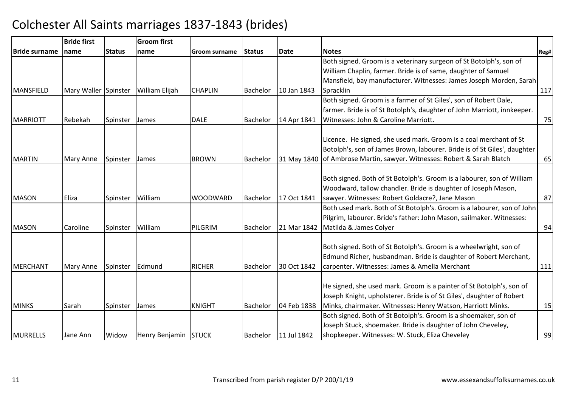|                      | <b>Bride first</b>   |               | <b>Groom first</b>    |                 |                 |             |                                                                          |      |
|----------------------|----------------------|---------------|-----------------------|-----------------|-----------------|-------------|--------------------------------------------------------------------------|------|
| <b>Bride surname</b> | <b>Iname</b>         | <b>Status</b> | name                  | Groom surname   | <b>Status</b>   | Date        | <b>Notes</b>                                                             | Reg# |
|                      |                      |               |                       |                 |                 |             | Both signed. Groom is a veterinary surgeon of St Botolph's, son of       |      |
|                      |                      |               |                       |                 |                 |             | William Chaplin, farmer. Bride is of same, daughter of Samuel            |      |
|                      |                      |               |                       |                 |                 |             | Mansfield, bay manufacturer. Witnesses: James Joseph Morden, Sarah       |      |
| MANSFIELD            | Mary Waller Spinster |               | <b>William Elijah</b> | <b>CHAPLIN</b>  | Bachelor        | 10 Jan 1843 | Spracklin                                                                | 117  |
|                      |                      |               |                       |                 |                 |             | Both signed. Groom is a farmer of St Giles', son of Robert Dale,         |      |
|                      |                      |               |                       |                 |                 |             | farmer. Bride is of St Botolph's, daughter of John Marriott, innkeeper.  |      |
| <b>MARRIOTT</b>      | Rebekah              | Spinster      | James                 | <b>DALE</b>     | <b>Bachelor</b> | 14 Apr 1841 | Witnesses: John & Caroline Marriott.                                     | 75   |
|                      |                      |               |                       |                 |                 |             |                                                                          |      |
|                      |                      |               |                       |                 |                 |             | Licence. He signed, she used mark. Groom is a coal merchant of St        |      |
|                      |                      |               |                       |                 |                 |             | Botolph's, son of James Brown, labourer. Bride is of St Giles', daughter |      |
| <b>MARTIN</b>        | Mary Anne            | Spinster      | James                 | <b>BROWN</b>    | Bachelor        |             | 31 May 1840 of Ambrose Martin, sawyer. Witnesses: Robert & Sarah Blatch  | 65   |
|                      |                      |               |                       |                 |                 |             |                                                                          |      |
|                      |                      |               |                       |                 |                 |             | Both signed. Both of St Botolph's. Groom is a labourer, son of William   |      |
|                      |                      |               |                       |                 |                 |             | Woodward, tallow chandler. Bride is daughter of Joseph Mason,            |      |
| <b>MASON</b>         | Eliza                | Spinster      | William               | <b>WOODWARD</b> | <b>Bachelor</b> | 17 Oct 1841 | sawyer. Witnesses: Robert Goldacre?, Jane Mason                          | 87   |
|                      |                      |               |                       |                 |                 |             | Both used mark. Both of St Botolph's. Groom is a labourer, son of John   |      |
|                      |                      |               |                       |                 |                 |             | Pilgrim, labourer. Bride's father: John Mason, sailmaker. Witnesses:     |      |
| <b>MASON</b>         | Caroline             | Spinster      | William               | PILGRIM         | Bachelor        | 21 Mar 1842 | Matilda & James Colyer                                                   | 94   |
|                      |                      |               |                       |                 |                 |             |                                                                          |      |
|                      |                      |               |                       |                 |                 |             | Both signed. Both of St Botolph's. Groom is a wheelwright, son of        |      |
|                      |                      |               |                       |                 |                 |             | Edmund Richer, husbandman. Bride is daughter of Robert Merchant,         |      |
| MERCHANT             | <b>Mary Anne</b>     | Spinster      | Edmund                | <b>RICHER</b>   | Bachelor        | 30 Oct 1842 | carpenter. Witnesses: James & Amelia Merchant                            | 111  |
|                      |                      |               |                       |                 |                 |             |                                                                          |      |
|                      |                      |               |                       |                 |                 |             | He signed, she used mark. Groom is a painter of St Botolph's, son of     |      |
|                      |                      |               |                       |                 |                 |             | Joseph Knight, upholsterer. Bride is of St Giles', daughter of Robert    |      |
| <b>MINKS</b>         | Sarah                | Spinster      | James                 | <b>KNIGHT</b>   | <b>Bachelor</b> | 04 Feb 1838 | Minks, chairmaker. Witnesses: Henry Watson, Harriott Minks.              | 15   |
|                      |                      |               |                       |                 |                 |             | Both signed. Both of St Botolph's. Groom is a shoemaker, son of          |      |
|                      |                      |               |                       |                 |                 |             | Joseph Stuck, shoemaker. Bride is daughter of John Cheveley,             |      |
| <b>MURRELLS</b>      | Jane Ann             | Widow         | Henry Benjamin STUCK  |                 | <b>Bachelor</b> | 11 Jul 1842 | shopkeeper. Witnesses: W. Stuck, Eliza Cheveley                          | 99   |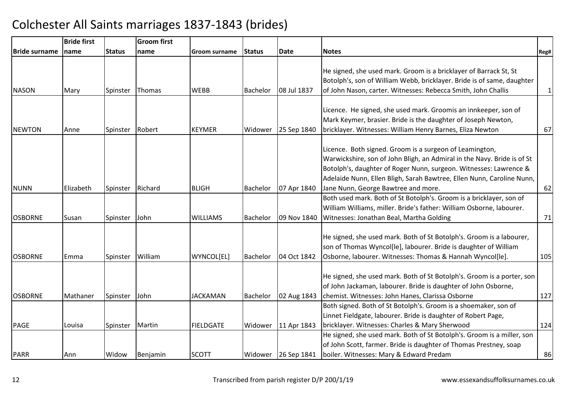|                       | <b>Bride first</b> |               | <b>Groom first</b> |                  |                 |             |                                                                         |              |
|-----------------------|--------------------|---------------|--------------------|------------------|-----------------|-------------|-------------------------------------------------------------------------|--------------|
| <b>IBride surname</b> | name               | <b>Status</b> | name               | Groom surname    | <b>Status</b>   | Date        | <b>Notes</b>                                                            | Reg#         |
|                       |                    |               |                    |                  |                 |             |                                                                         |              |
|                       |                    |               |                    |                  |                 |             | He signed, she used mark. Groom is a bricklayer of Barrack St, St       |              |
|                       |                    |               |                    |                  |                 |             | Botolph's, son of William Webb, bricklayer. Bride is of same, daughter  |              |
| <b>NASON</b>          | Mary               | Spinster      | Thomas             | <b>WEBB</b>      | Bachelor        | 08 Jul 1837 | of John Nason, carter. Witnesses: Rebecca Smith, John Challis           | $\mathbf{1}$ |
|                       |                    |               |                    |                  |                 |             |                                                                         |              |
|                       |                    |               |                    |                  |                 |             | Licence. He signed, she used mark. Groomis an innkeeper, son of         |              |
|                       |                    |               |                    |                  |                 |             | Mark Keymer, brasier. Bride is the daughter of Joseph Newton,           |              |
| <b>NEWTON</b>         | Anne               | Spinster      | Robert             | <b>KEYMER</b>    | Widower         | 25 Sep 1840 | bricklayer. Witnesses: William Henry Barnes, Eliza Newton               | 67           |
|                       |                    |               |                    |                  |                 |             |                                                                         |              |
|                       |                    |               |                    |                  |                 |             | Licence. Both signed. Groom is a surgeon of Leamington,                 |              |
|                       |                    |               |                    |                  |                 |             | Warwickshire, son of John Bligh, an Admiral in the Navy. Bride is of St |              |
|                       |                    |               |                    |                  |                 |             | Botolph's, daughter of Roger Nunn, surgeon. Witnesses: Lawrence &       |              |
|                       |                    |               |                    |                  |                 |             | Adelaide Nunn, Ellen Bligh, Sarah Bawtree, Ellen Nunn, Caroline Nunn,   |              |
| <b>NUNN</b>           | Elizabeth          | Spinster      | Richard            | <b>BLIGH</b>     | <b>Bachelor</b> | 07 Apr 1840 | Jane Nunn, George Bawtree and more.                                     | 62           |
|                       |                    |               |                    |                  |                 |             | Both used mark. Both of St Botolph's. Groom is a bricklayer, son of     |              |
|                       |                    |               |                    |                  |                 |             | William Williams, miller. Bride's father: William Osborne, labourer.    |              |
| <b>OSBORNE</b>        | Susan              | Spinster      | John               | <b>WILLIAMS</b>  | Bachelor        | 09 Nov 1840 | Witnesses: Jonathan Beal, Martha Golding                                | 71           |
|                       |                    |               |                    |                  |                 |             |                                                                         |              |
|                       |                    |               |                    |                  |                 |             | He signed, she used mark. Both of St Botolph's. Groom is a labourer,    |              |
|                       |                    |               |                    |                  |                 |             | son of Thomas Wyncol[le], labourer. Bride is daughter of William        |              |
| <b>OSBORNE</b>        | Emma               | Spinster      | William            | WYNCOL[EL]       | <b>Bachelor</b> | 04 Oct 1842 | Osborne, labourer. Witnesses: Thomas & Hannah Wyncol[le].               | 105          |
|                       |                    |               |                    |                  |                 |             |                                                                         |              |
|                       |                    |               |                    |                  |                 |             | He signed, she used mark. Both of St Botolph's. Groom is a porter, son  |              |
|                       |                    |               |                    |                  |                 |             | of John Jackaman, labourer. Bride is daughter of John Osborne,          |              |
| <b>OSBORNE</b>        | Mathaner           | Spinster      | John               | <b>JACKAMAN</b>  | Bachelor        | 02 Aug 1843 | chemist. Witnesses: John Hanes, Clarissa Osborne                        | 127          |
|                       |                    |               |                    |                  |                 |             | Both signed. Both of St Botolph's. Groom is a shoemaker, son of         |              |
|                       |                    |               |                    |                  |                 |             | Linnet Fieldgate, labourer. Bride is daughter of Robert Page,           |              |
| PAGE                  | Louisa             | Spinster      | Martin             | <b>FIELDGATE</b> | Widower         | 11 Apr 1843 | bricklayer. Witnesses: Charles & Mary Sherwood                          | 124          |
|                       |                    |               |                    |                  |                 |             | He signed, she used mark. Both of St Botolph's. Groom is a miller, son  |              |
|                       |                    |               |                    |                  |                 |             | of John Scott, farmer. Bride is daughter of Thomas Prestney, soap       |              |
| PARR                  | Ann                | Widow         | Benjamin           | <b>SCOTT</b>     | Widower         | 26 Sep 1841 | boiler. Witnesses: Mary & Edward Predam                                 | 86           |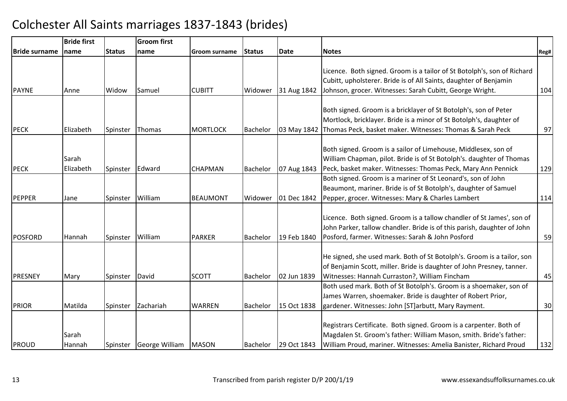|                      | <b>Bride first</b> |               | <b>Groom</b> first            |                 |                 |             |                                                                                                                                                                                                               |      |
|----------------------|--------------------|---------------|-------------------------------|-----------------|-----------------|-------------|---------------------------------------------------------------------------------------------------------------------------------------------------------------------------------------------------------------|------|
| <b>Bride surname</b> | name               | <b>Status</b> | name                          | Groom surname   | <b>Status</b>   | <b>Date</b> | <b>Notes</b>                                                                                                                                                                                                  | Reg# |
|                      |                    |               |                               |                 |                 |             | Licence. Both signed. Groom is a tailor of St Botolph's, son of Richard<br>Cubitt, upholsterer. Bride is of All Saints, daughter of Benjamin                                                                  |      |
| <b>PAYNE</b>         | Anne               | Widow         | Samuel                        | <b>CUBITT</b>   | Widower         | 31 Aug 1842 | Johnson, grocer. Witnesses: Sarah Cubitt, George Wright.                                                                                                                                                      | 104  |
| <b>PECK</b>          | Elizabeth          | Spinster      | Thomas                        | <b>MORTLOCK</b> | <b>Bachelor</b> | 03 May 1842 | Both signed. Groom is a bricklayer of St Botolph's, son of Peter<br>Mortlock, bricklayer. Bride is a minor of St Botolph's, daughter of<br>Thomas Peck, basket maker. Witnesses: Thomas & Sarah Peck          | 97   |
| <b>PECK</b>          | Sarah<br>Elizabeth | Spinster      | Edward                        | <b>CHAPMAN</b>  | Bachelor        | 07 Aug 1843 | Both signed. Groom is a sailor of Limehouse, Middlesex, son of<br>William Chapman, pilot. Bride is of St Botolph's. daughter of Thomas<br>Peck, basket maker. Witnesses: Thomas Peck, Mary Ann Pennick        | 129  |
| PEPPER               | Jane               | Spinster      | William                       | <b>BEAUMONT</b> | Widower         | 01 Dec 1842 | Both signed. Groom is a mariner of St Leonard's, son of John<br>Beaumont, mariner. Bride is of St Botolph's, daughter of Samuel<br>Pepper, grocer. Witnesses: Mary & Charles Lambert                          | 114  |
| <b>POSFORD</b>       | Hannah             | Spinster      | William                       | <b>PARKER</b>   | <b>Bachelor</b> | 19 Feb 1840 | Licence. Both signed. Groom is a tallow chandler of St James', son of<br>John Parker, tallow chandler. Bride is of this parish, daughter of John<br>Posford, farmer. Witnesses: Sarah & John Posford          | 59   |
| <b>PRESNEY</b>       | Mary               | Spinster      | David                         | <b>SCOTT</b>    | <b>Bachelor</b> | 02 Jun 1839 | He signed, she used mark. Both of St Botolph's. Groom is a tailor, son<br>of Benjamin Scott, miller. Bride is daughter of John Presney, tanner.<br>Witnesses: Hannah Curraston?, William Fincham              | 45   |
| PRIOR                | Matilda            | Spinster      | Zachariah                     | <b>WARREN</b>   | <b>Bachelor</b> | 15 Oct 1838 | Both used mark. Both of St Botolph's. Groom is a shoemaker, son of<br>James Warren, shoemaker. Bride is daughter of Robert Prior,<br>gardener. Witnesses: John [ST]arbutt, Mary Rayment.                      | 30   |
| PROUD                | Sarah<br>Hannah    |               | Spinster George William MASON |                 | Bachelor        | 29 Oct 1843 | Registrars Certificate. Both signed. Groom is a carpenter. Both of<br>Magdalen St. Groom's father: William Mason, smith. Bride's father:<br>William Proud, mariner. Witnesses: Amelia Banister, Richard Proud | 132  |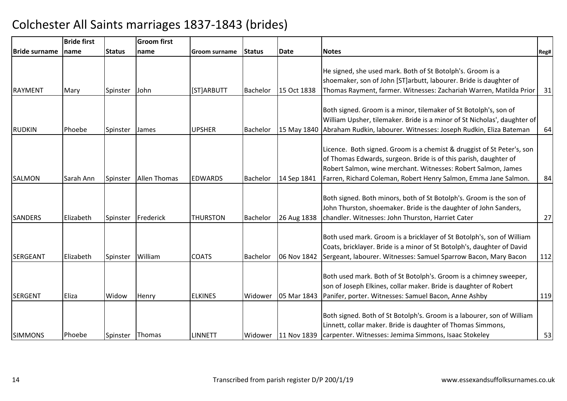|                      | <b>Bride first</b> |               | <b>Groom first</b> |                 |                 |                     |                                                                          |      |
|----------------------|--------------------|---------------|--------------------|-----------------|-----------------|---------------------|--------------------------------------------------------------------------|------|
| <b>Bride surname</b> | Iname              | <b>Status</b> | name               | Groom surname   | <b>Status</b>   | <b>Date</b>         | <b>Notes</b>                                                             | Reg# |
|                      |                    |               |                    |                 |                 |                     |                                                                          |      |
|                      |                    |               |                    |                 |                 |                     | He signed, she used mark. Both of St Botolph's. Groom is a               |      |
|                      |                    |               |                    |                 |                 |                     | shoemaker, son of John [ST]arbutt, labourer. Bride is daughter of        |      |
| RAYMENT              | Mary               | Spinster      | John               | [ST]ARBUTT      | Bachelor        | 15 Oct 1838         | Thomas Rayment, farmer. Witnesses: Zachariah Warren, Matilda Prior       | 31   |
|                      |                    |               |                    |                 |                 |                     |                                                                          |      |
|                      |                    |               |                    |                 |                 |                     | Both signed. Groom is a minor, tilemaker of St Botolph's, son of         |      |
|                      |                    |               |                    |                 |                 |                     | William Upsher, tilemaker. Bride is a minor of St Nicholas', daughter of |      |
| <b>RUDKIN</b>        | Phoebe             | Spinster      | James              | <b>UPSHER</b>   | <b>Bachelor</b> | 15 May 1840         | Abraham Rudkin, labourer. Witnesses: Joseph Rudkin, Eliza Bateman        | 64   |
|                      |                    |               |                    |                 |                 |                     | Licence. Both signed. Groom is a chemist & druggist of St Peter's, son   |      |
|                      |                    |               |                    |                 |                 |                     | of Thomas Edwards, surgeon. Bride is of this parish, daughter of         |      |
|                      |                    |               |                    |                 |                 |                     | Robert Salmon, wine merchant. Witnesses: Robert Salmon, James            |      |
| <b>SALMON</b>        | Sarah Ann          | Spinster      | Allen Thomas       | <b>EDWARDS</b>  | <b>Bachelor</b> | 14 Sep 1841         | Farren, Richard Coleman, Robert Henry Salmon, Emma Jane Salmon.          | 84   |
|                      |                    |               |                    |                 |                 |                     |                                                                          |      |
|                      |                    |               |                    |                 |                 |                     | Both signed. Both minors, both of St Botolph's. Groom is the son of      |      |
|                      |                    |               |                    |                 |                 |                     | John Thurston, shoemaker. Bride is the daughter of John Sanders,         |      |
| <b>SANDERS</b>       | Elizabeth          | Spinster      | Frederick          | <b>THURSTON</b> | <b>Bachelor</b> | 26 Aug 1838         | chandler. Witnesses: John Thurston, Harriet Cater                        | 27   |
|                      |                    |               |                    |                 |                 |                     |                                                                          |      |
|                      |                    |               |                    |                 |                 |                     | Both used mark. Groom is a bricklayer of St Botolph's, son of William    |      |
|                      |                    |               |                    |                 |                 |                     | Coats, bricklayer. Bride is a minor of St Botolph's, daughter of David   |      |
| <b>SERGEANT</b>      | Elizabeth          | Spinster      | William            | <b>COATS</b>    | <b>Bachelor</b> | 06 Nov 1842         | Sergeant, labourer. Witnesses: Samuel Sparrow Bacon, Mary Bacon          | 112  |
|                      |                    |               |                    |                 |                 |                     |                                                                          |      |
|                      |                    |               |                    |                 |                 |                     | Both used mark. Both of St Botolph's. Groom is a chimney sweeper,        |      |
|                      |                    |               |                    |                 |                 |                     | son of Joseph Elkines, collar maker. Bride is daughter of Robert         |      |
| <b>SERGENT</b>       | Eliza              | Widow         | Henry              | <b>ELKINES</b>  | Widower         | 05 Mar 1843         | Panifer, porter. Witnesses: Samuel Bacon, Anne Ashby                     | 119  |
|                      |                    |               |                    |                 |                 |                     |                                                                          |      |
|                      |                    |               |                    |                 |                 |                     | Both signed. Both of St Botolph's. Groom is a labourer, son of William   |      |
|                      |                    |               |                    |                 |                 |                     | Linnett, collar maker. Bride is daughter of Thomas Simmons,              |      |
| <b>SIMMONS</b>       | Phoebe             | Spinster      | Thomas             | <b>LINNETT</b>  |                 | Widower 11 Nov 1839 | carpenter. Witnesses: Jemima Simmons, Isaac Stokeley                     | 53   |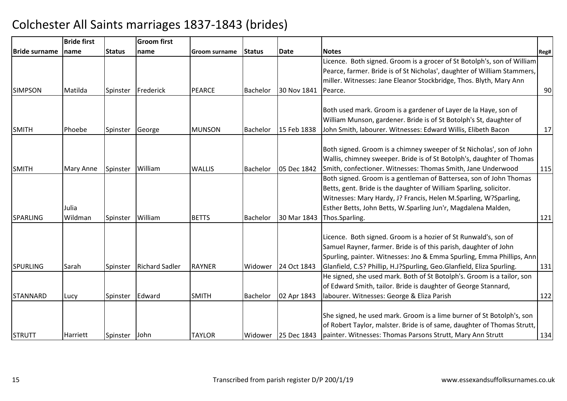|                      | <b>Bride first</b> |               | <b>Groom first</b>    |               |                 |             |                                                                          |      |
|----------------------|--------------------|---------------|-----------------------|---------------|-----------------|-------------|--------------------------------------------------------------------------|------|
| <b>Bride surname</b> | name               | <b>Status</b> | <b>name</b>           | Groom surname | <b>Status</b>   | <b>Date</b> | Notes                                                                    | Reg# |
|                      |                    |               |                       |               |                 |             | Licence. Both signed. Groom is a grocer of St Botolph's, son of William  |      |
|                      |                    |               |                       |               |                 |             | Pearce, farmer. Bride is of St Nicholas', daughter of William Stammers,  |      |
|                      |                    |               |                       |               |                 |             | miller. Witnesses: Jane Eleanor Stockbridge, Thos. Blyth, Mary Ann       |      |
| <b>SIMPSON</b>       | Matilda            | Spinster      | Frederick             | <b>PEARCE</b> | <b>Bachelor</b> | 30 Nov 1841 | Pearce.                                                                  | 90   |
|                      |                    |               |                       |               |                 |             | Both used mark. Groom is a gardener of Layer de la Haye, son of          |      |
|                      |                    |               |                       |               |                 |             | William Munson, gardener. Bride is of St Botolph's St, daughter of       |      |
| <b>SMITH</b>         | Phoebe             | Spinster      | George                | <b>MUNSON</b> | <b>Bachelor</b> | 15 Feb 1838 | John Smith, labourer. Witnesses: Edward Willis, Elibeth Bacon            | 17   |
|                      |                    |               |                       |               |                 |             |                                                                          |      |
|                      |                    |               |                       |               |                 |             | Both signed. Groom is a chimney sweeper of St Nicholas', son of John     |      |
|                      |                    |               |                       |               |                 |             | Wallis, chimney sweeper. Bride is of St Botolph's, daughter of Thomas    |      |
| <b>SMITH</b>         | Mary Anne          | Spinster      | William               | <b>WALLIS</b> | <b>Bachelor</b> | 05 Dec 1842 | Smith, confectioner. Witnesses: Thomas Smith, Jane Underwood             | 115  |
|                      |                    |               |                       |               |                 |             | Both signed. Groom is a gentleman of Battersea, son of John Thomas       |      |
|                      |                    |               |                       |               |                 |             | Betts, gent. Bride is the daughter of William Sparling, solicitor.       |      |
|                      |                    |               |                       |               |                 |             | Witnesses: Mary Hardy, J? Francis, Helen M.Sparling, W?Sparling,         |      |
|                      | Julia              |               |                       |               |                 |             | Esther Betts, John Betts, W.Sparling Jun'r, Magdalena Malden,            |      |
| <b>SPARLING</b>      | Wildman            | Spinster      | William               | <b>BETTS</b>  | <b>Bachelor</b> | 30 Mar 1843 | Thos.Sparling.                                                           | 121  |
|                      |                    |               |                       |               |                 |             |                                                                          |      |
|                      |                    |               |                       |               |                 |             | Licence. Both signed. Groom is a hozier of St Runwald's, son of          |      |
|                      |                    |               |                       |               |                 |             | Samuel Rayner, farmer. Bride is of this parish, daughter of John         |      |
|                      |                    |               |                       |               |                 |             | Spurling, painter. Witnesses: Jno & Emma Spurling, Emma Phillips, Ann    |      |
| SPURLING             | Sarah              | Spinster      | <b>Richard Sadler</b> | <b>RAYNER</b> | Widower         | 24 Oct 1843 | Glanfield, C.S? Phillip, H.J?Spurling, Geo.Glanfield, Eliza Spurling.    | 131  |
|                      |                    |               |                       |               |                 |             | He signed, she used mark. Both of St Botolph's. Groom is a tailor, son   |      |
|                      |                    |               |                       |               |                 |             | of Edward Smith, tailor. Bride is daughter of George Stannard,           |      |
| STANNARD             | Lucy               | Spinster      | Edward                | <b>SMITH</b>  | Bachelor        | 02 Apr 1843 | labourer. Witnesses: George & Eliza Parish                               | 122  |
|                      |                    |               |                       |               |                 |             |                                                                          |      |
|                      |                    |               |                       |               |                 |             | She signed, he used mark. Groom is a lime burner of St Botolph's, son    |      |
|                      |                    |               |                       |               |                 |             | of Robert Taylor, malster. Bride is of same, daughter of Thomas Strutt,  |      |
| <b>STRUTT</b>        | Harriett           | Spinster      | <b>John</b>           | <b>TAYLOR</b> | Widower         |             | 25 Dec 1843   painter. Witnesses: Thomas Parsons Strutt, Mary Ann Strutt | 134  |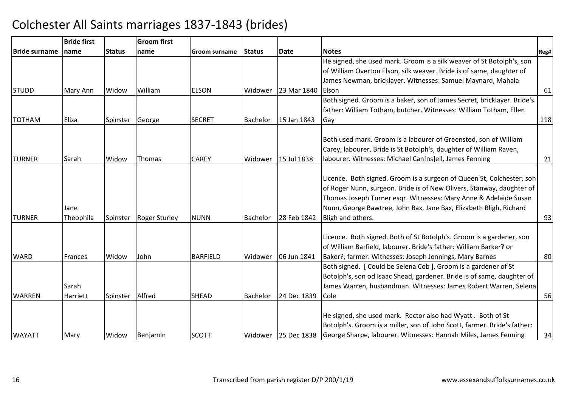|                      | <b>Bride first</b> |               | <b>Groom first</b>   |                 |                 |             |                                                                          |      |
|----------------------|--------------------|---------------|----------------------|-----------------|-----------------|-------------|--------------------------------------------------------------------------|------|
| <b>Bride surname</b> | Iname              | <b>Status</b> | name                 | Groom surname   | Status          | <b>Date</b> | <b>Notes</b>                                                             | Reg# |
|                      |                    |               |                      |                 |                 |             | He signed, she used mark. Groom is a silk weaver of St Botolph's, son    |      |
|                      |                    |               |                      |                 |                 |             | of William Overton Elson, silk weaver. Bride is of same, daughter of     |      |
|                      |                    |               |                      |                 |                 |             | James Newman, bricklayer. Witnesses: Samuel Maynard, Mahala              |      |
| <b>STUDD</b>         | Mary Ann           | Widow         | William              | <b>ELSON</b>    | Widower         | 23 Mar 1840 | <b>IEIson</b>                                                            | 61   |
|                      |                    |               |                      |                 |                 |             | Both signed. Groom is a baker, son of James Secret, bricklayer. Bride's  |      |
|                      |                    |               |                      |                 |                 |             | father: William Totham, butcher. Witnesses: William Totham, Ellen        |      |
| <b>TOTHAM</b>        | Eliza              | Spinster      | George               | <b>SECRET</b>   | <b>Bachelor</b> | 15 Jan 1843 | Gay                                                                      | 118  |
|                      |                    |               |                      |                 |                 |             |                                                                          |      |
|                      |                    |               |                      |                 |                 |             | Both used mark. Groom is a labourer of Greensted, son of William         |      |
|                      |                    |               |                      |                 |                 |             | Carey, labourer. Bride is St Botolph's, daughter of William Raven,       |      |
| <b>TURNER</b>        | Sarah              | Widow         | Thomas               | <b>CAREY</b>    | Widower         | 15 Jul 1838 | labourer. Witnesses: Michael Can[ns]ell, James Fenning                   | 21   |
|                      |                    |               |                      |                 |                 |             |                                                                          |      |
|                      |                    |               |                      |                 |                 |             | Licence. Both signed. Groom is a surgeon of Queen St, Colchester, son    |      |
|                      |                    |               |                      |                 |                 |             | of Roger Nunn, surgeon. Bride is of New Olivers, Stanway, daughter of    |      |
|                      |                    |               |                      |                 |                 |             | Thomas Joseph Turner esqr. Witnesses: Mary Anne & Adelaide Susan         |      |
|                      | Jane               |               |                      |                 |                 |             | Nunn, George Bawtree, John Bax, Jane Bax, Elizabeth Bligh, Richard       |      |
| <b>TURNER</b>        | Theophila          | Spinster      | <b>Roger Sturley</b> | <b>NUNN</b>     | <b>Bachelor</b> | 28 Feb 1842 | Bligh and others.                                                        | 93   |
|                      |                    |               |                      |                 |                 |             |                                                                          |      |
|                      |                    |               |                      |                 |                 |             | Licence. Both signed. Both of St Botolph's. Groom is a gardener, son     |      |
|                      |                    |               |                      |                 |                 |             | of William Barfield, labourer. Bride's father: William Barker? or        |      |
| <b>WARD</b>          | Frances            | Widow         | John                 | <b>BARFIELD</b> | Widower         | 06 Jun 1841 | Baker?, farmer. Witnesses: Joseph Jennings, Mary Barnes                  | 80   |
|                      |                    |               |                      |                 |                 |             | Both signed. [Could be Selena Cob ]. Groom is a gardener of St           |      |
|                      |                    |               |                      |                 |                 |             | Botolph's, son od Isaac Shead, gardener. Bride is of same, daughter of   |      |
|                      | Sarah              |               |                      |                 |                 |             | James Warren, husbandman. Witnesses: James Robert Warren, Selena         |      |
| <b>WARREN</b>        | Harriett           | Spinster      | Alfred               | <b>SHEAD</b>    | Bachelor        | 24 Dec 1839 | Cole                                                                     | 56   |
|                      |                    |               |                      |                 |                 |             |                                                                          |      |
|                      |                    |               |                      |                 |                 |             | He signed, she used mark. Rector also had Wyatt. Both of St              |      |
|                      |                    |               |                      |                 |                 |             | Botolph's. Groom is a miller, son of John Scott, farmer. Bride's father: |      |
| <b>WAYATT</b>        | Mary               | Widow         | Benjamin             | <b>SCOTT</b>    | Widower         | 25 Dec 1838 | George Sharpe, labourer. Witnesses: Hannah Miles, James Fenning          | 34   |